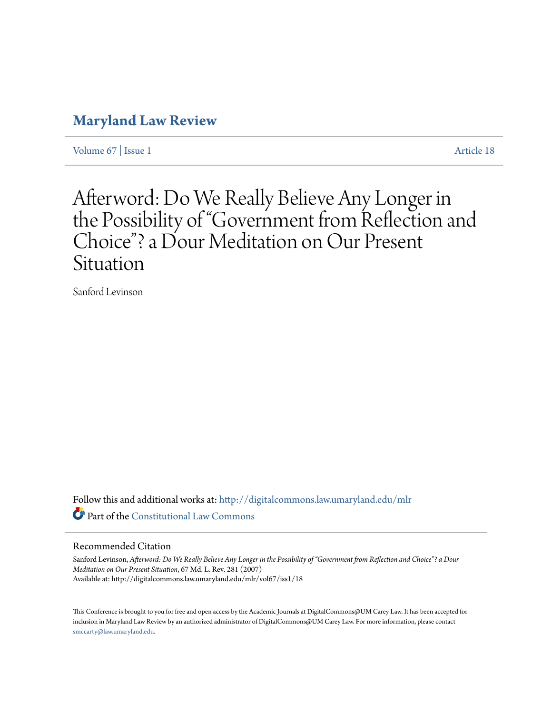## **[Maryland Law Review](http://digitalcommons.law.umaryland.edu/mlr?utm_source=digitalcommons.law.umaryland.edu%2Fmlr%2Fvol67%2Fiss1%2F18&utm_medium=PDF&utm_campaign=PDFCoverPages)**

[Volume 67](http://digitalcommons.law.umaryland.edu/mlr/vol67?utm_source=digitalcommons.law.umaryland.edu%2Fmlr%2Fvol67%2Fiss1%2F18&utm_medium=PDF&utm_campaign=PDFCoverPages) | [Issue 1](http://digitalcommons.law.umaryland.edu/mlr/vol67/iss1?utm_source=digitalcommons.law.umaryland.edu%2Fmlr%2Fvol67%2Fiss1%2F18&utm_medium=PDF&utm_campaign=PDFCoverPages) [Article 18](http://digitalcommons.law.umaryland.edu/mlr/vol67/iss1/18?utm_source=digitalcommons.law.umaryland.edu%2Fmlr%2Fvol67%2Fiss1%2F18&utm_medium=PDF&utm_campaign=PDFCoverPages)

# Afterword: Do We Really Believe Any Longer in the Possibility of "Government from Reflection and Choice"? a Dour Meditation on Our Present Situation

Sanford Levinson

Follow this and additional works at: [http://digitalcommons.law.umaryland.edu/mlr](http://digitalcommons.law.umaryland.edu/mlr?utm_source=digitalcommons.law.umaryland.edu%2Fmlr%2Fvol67%2Fiss1%2F18&utm_medium=PDF&utm_campaign=PDFCoverPages) Part of the [Constitutional Law Commons](http://network.bepress.com/hgg/discipline/589?utm_source=digitalcommons.law.umaryland.edu%2Fmlr%2Fvol67%2Fiss1%2F18&utm_medium=PDF&utm_campaign=PDFCoverPages)

#### Recommended Citation

Sanford Levinson, *Afterword: Do We Really Believe Any Longer in the Possibility of "Government from Reflection and Choice"? a Dour Meditation on Our Present Situation*, 67 Md. L. Rev. 281 (2007) Available at: http://digitalcommons.law.umaryland.edu/mlr/vol67/iss1/18

This Conference is brought to you for free and open access by the Academic Journals at DigitalCommons@UM Carey Law. It has been accepted for inclusion in Maryland Law Review by an authorized administrator of DigitalCommons@UM Carey Law. For more information, please contact [smccarty@law.umaryland.edu.](mailto:smccarty@law.umaryland.edu)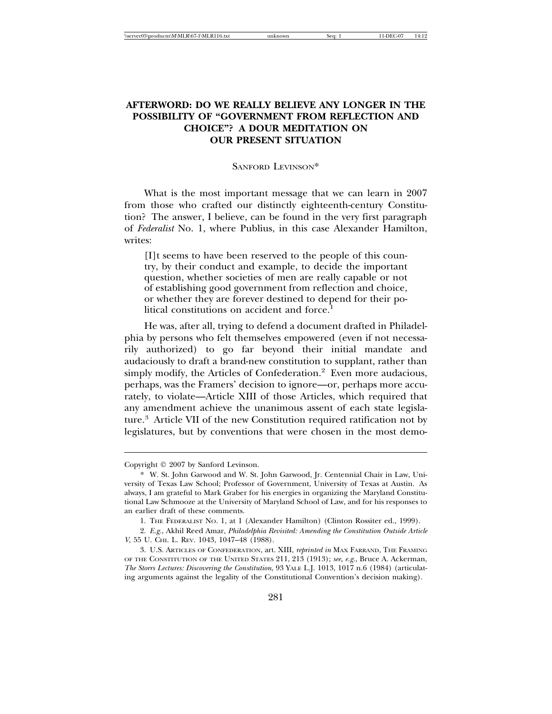### **AFTERWORD: DO WE REALLY BELIEVE ANY LONGER IN THE POSSIBILITY OF "GOVERNMENT FROM REFLECTION AND CHOICE"? A DOUR MEDITATION ON OUR PRESENT SITUATION**

#### SANFORD LEVINSON\*

What is the most important message that we can learn in 2007 from those who crafted our distinctly eighteenth-century Constitution? The answer, I believe, can be found in the very first paragraph of *Federalist* No. 1, where Publius, in this case Alexander Hamilton, writes:

[I]t seems to have been reserved to the people of this country, by their conduct and example, to decide the important question, whether societies of men are really capable or not of establishing good government from reflection and choice, or whether they are forever destined to depend for their political constitutions on accident and force.

He was, after all, trying to defend a document drafted in Philadelphia by persons who felt themselves empowered (even if not necessarily authorized) to go far beyond their initial mandate and audaciously to draft a brand-new constitution to supplant, rather than simply modify, the Articles of Confederation.<sup>2</sup> Even more audacious, perhaps, was the Framers' decision to ignore—or, perhaps more accurately, to violate—Article XIII of those Articles, which required that any amendment achieve the unanimous assent of each state legislature.3 Article VII of the new Constitution required ratification not by legislatures, but by conventions that were chosen in the most demo-

Copyright  $©$  2007 by Sanford Levinson.

<sup>\*</sup> W. St. John Garwood and W. St. John Garwood, Jr. Centennial Chair in Law, University of Texas Law School; Professor of Government, University of Texas at Austin. As always, I am grateful to Mark Graber for his energies in organizing the Maryland Constitutional Law Schmooze at the University of Maryland School of Law, and for his responses to an earlier draft of these comments.

<sup>1.</sup> THE FEDERALIST NO. 1, at 1 (Alexander Hamilton) (Clinton Rossiter ed., 1999).

<sup>2.</sup> *E.g.*, Akhil Reed Amar, *Philadelphia Revisited: Amending the Constitution Outside Article V*, 55 U. CHI. L. REV. 1043, 1047–48 (1988).

<sup>3.</sup> U.S. ARTICLES OF CONFEDERATION, art. XIII, *reprinted in* MAX FARRAND, THE FRAMING OF THE CONSTITUTION OF THE UNITED STATES 211, 213 (1913); *see, e.g.*, Bruce A. Ackerman, *The Storrs Lectures: Discovering the Constitution*, 93 YALE L.J. 1013, 1017 n.6 (1984) (articulating arguments against the legality of the Constitutional Convention's decision making).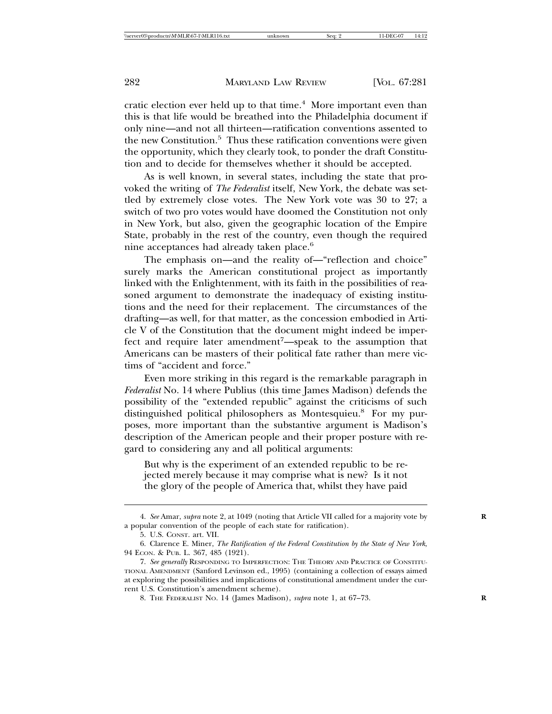cratic election ever held up to that time.<sup>4</sup> More important even than this is that life would be breathed into the Philadelphia document if only nine—and not all thirteen—ratification conventions assented to the new Constitution.<sup>5</sup> Thus these ratification conventions were given the opportunity, which they clearly took, to ponder the draft Constitution and to decide for themselves whether it should be accepted.

As is well known, in several states, including the state that provoked the writing of *The Federalist* itself, New York, the debate was settled by extremely close votes. The New York vote was 30 to 27; a switch of two pro votes would have doomed the Constitution not only in New York, but also, given the geographic location of the Empire State, probably in the rest of the country, even though the required nine acceptances had already taken place.<sup>6</sup>

The emphasis on—and the reality of—"reflection and choice" surely marks the American constitutional project as importantly linked with the Enlightenment, with its faith in the possibilities of reasoned argument to demonstrate the inadequacy of existing institutions and the need for their replacement. The circumstances of the drafting—as well, for that matter, as the concession embodied in Article V of the Constitution that the document might indeed be imperfect and require later amendment<sup>7</sup>—speak to the assumption that Americans can be masters of their political fate rather than mere victims of "accident and force."

Even more striking in this regard is the remarkable paragraph in *Federalist* No. 14 where Publius (this time James Madison) defends the possibility of the "extended republic" against the criticisms of such distinguished political philosophers as Montesquieu.8 For my purposes, more important than the substantive argument is Madison's description of the American people and their proper posture with regard to considering any and all political arguments:

But why is the experiment of an extended republic to be rejected merely because it may comprise what is new? Is it not the glory of the people of America that, whilst they have paid

<sup>4.</sup> *See* Amar, *supra* note 2, at 1049 (noting that Article VII called for a majority vote by **R** a popular convention of the people of each state for ratification).

<sup>5.</sup> U.S. CONST. art. VII.

<sup>6.</sup> Clarence E. Miner, *The Ratification of the Federal Constitution by the State of New York*, 94 ECON. & PUB. L. 367, 485 (1921).

<sup>7.</sup> *See generally* RESPONDING TO IMPERFECTION: THE THEORY AND PRACTICE OF CONSTITU-TIONAL AMENDMENT (Sanford Levinson ed., 1995) (containing a collection of essays aimed at exploring the possibilities and implications of constitutional amendment under the current U.S. Constitution's amendment scheme).

<sup>8.</sup> THE FEDERALIST NO. 14 (James Madison), *supra* note 1, at 67–73. **R**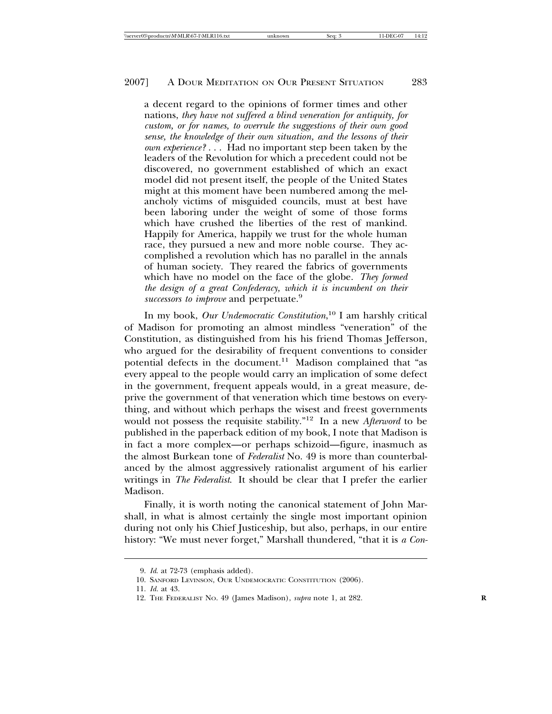a decent regard to the opinions of former times and other nations, *they have not suffered a blind veneration for antiquity, for custom, or for names, to overrule the suggestions of their own good sense, the knowledge of their own situation, and the lessons of their own experience?* . . . Had no important step been taken by the leaders of the Revolution for which a precedent could not be discovered, no government established of which an exact model did not present itself, the people of the United States might at this moment have been numbered among the melancholy victims of misguided councils, must at best have been laboring under the weight of some of those forms which have crushed the liberties of the rest of mankind. Happily for America, happily we trust for the whole human race, they pursued a new and more noble course. They accomplished a revolution which has no parallel in the annals of human society. They reared the fabrics of governments which have no model on the face of the globe. *They formed the design of a great Confederacy, which it is incumbent on their successors to improve* and perpetuate.<sup>9</sup>

In my book, *Our Undemocratic Constitution*, 10 I am harshly critical of Madison for promoting an almost mindless "veneration" of the Constitution, as distinguished from his his friend Thomas Jefferson, who argued for the desirability of frequent conventions to consider potential defects in the document.<sup>11</sup> Madison complained that "as every appeal to the people would carry an implication of some defect in the government, frequent appeals would, in a great measure, deprive the government of that veneration which time bestows on everything, and without which perhaps the wisest and freest governments would not possess the requisite stability."12 In a new *Afterword* to be published in the paperback edition of my book, I note that Madison is in fact a more complex—or perhaps schizoid—figure, inasmuch as the almost Burkean tone of *Federalist* No. 49 is more than counterbalanced by the almost aggressively rationalist argument of his earlier writings in *The Federalist*. It should be clear that I prefer the earlier Madison.

Finally, it is worth noting the canonical statement of John Marshall, in what is almost certainly the single most important opinion during not only his Chief Justiceship, but also, perhaps, in our entire history: "We must never forget," Marshall thundered, "that it is *a Con-*

<sup>9.</sup> *Id*. at 72-73 (emphasis added).

<sup>10.</sup> SANFORD LEVINSON, OUR UNDEMOCRATIC CONSTITUTION (2006).

<sup>11.</sup> *Id.* at 43.

<sup>12.</sup> THE FEDERALIST NO. 49 (James Madison), *supra* note 1, at 282. **R**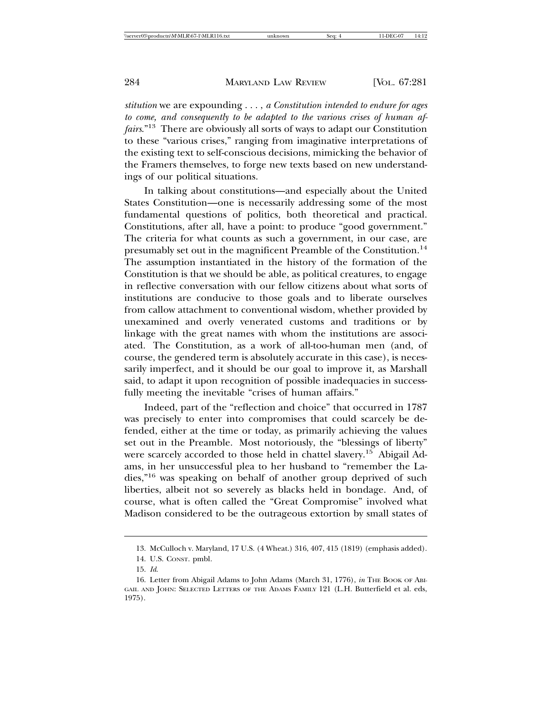*stitution* we are expounding . . . , *a Constitution intended to endure for ages to come, and consequently to be adapted to the various crises of human affairs*."13 There are obviously all sorts of ways to adapt our Constitution to these "various crises," ranging from imaginative interpretations of the existing text to self-conscious decisions, mimicking the behavior of the Framers themselves, to forge new texts based on new understandings of our political situations.

In talking about constitutions—and especially about the United States Constitution—one is necessarily addressing some of the most fundamental questions of politics, both theoretical and practical. Constitutions, after all, have a point: to produce "good government." The criteria for what counts as such a government, in our case, are presumably set out in the magnificent Preamble of the Constitution.<sup>14</sup> The assumption instantiated in the history of the formation of the Constitution is that we should be able, as political creatures, to engage in reflective conversation with our fellow citizens about what sorts of institutions are conducive to those goals and to liberate ourselves from callow attachment to conventional wisdom, whether provided by unexamined and overly venerated customs and traditions or by linkage with the great names with whom the institutions are associated. The Constitution, as a work of all-too-human men (and, of course, the gendered term is absolutely accurate in this case), is necessarily imperfect, and it should be our goal to improve it, as Marshall said, to adapt it upon recognition of possible inadequacies in successfully meeting the inevitable "crises of human affairs."

Indeed, part of the "reflection and choice" that occurred in 1787 was precisely to enter into compromises that could scarcely be defended, either at the time or today, as primarily achieving the values set out in the Preamble. Most notoriously, the "blessings of liberty" were scarcely accorded to those held in chattel slavery.<sup>15</sup> Abigail Adams, in her unsuccessful plea to her husband to "remember the Ladies,"16 was speaking on behalf of another group deprived of such liberties, albeit not so severely as blacks held in bondage. And, of course, what is often called the "Great Compromise" involved what Madison considered to be the outrageous extortion by small states of

<sup>13.</sup> McCulloch v. Maryland, 17 U.S. (4 Wheat.) 316, 407, 415 (1819) (emphasis added).

<sup>14.</sup> U.S. CONST. pmbl.

<sup>15.</sup> *Id*.

<sup>16.</sup> Letter from Abigail Adams to John Adams (March 31, 1776), *in* THE BOOK OF ABI-GAIL AND JOHN: SELECTED LETTERS OF THE ADAMS FAMILY 121 (L.H. Butterfield et al. eds, 1975).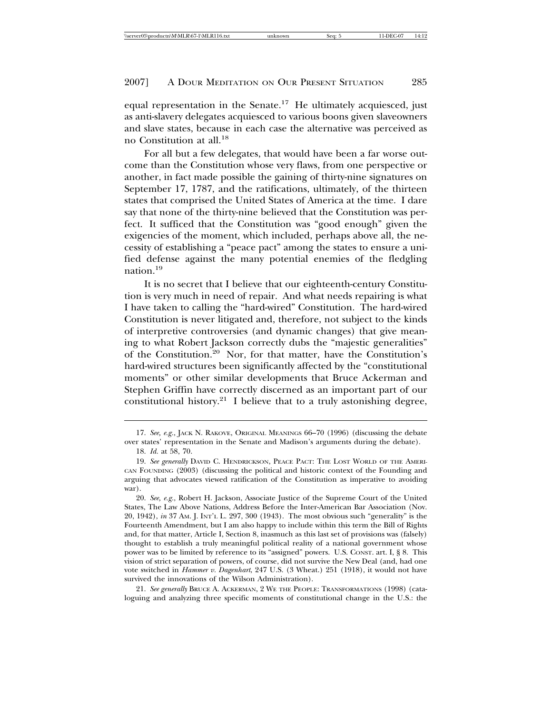equal representation in the Senate.<sup>17</sup> He ultimately acquiesced, just as anti-slavery delegates acquiesced to various boons given slaveowners and slave states, because in each case the alternative was perceived as no Constitution at all.18

For all but a few delegates, that would have been a far worse outcome than the Constitution whose very flaws, from one perspective or another, in fact made possible the gaining of thirty-nine signatures on September 17, 1787, and the ratifications, ultimately, of the thirteen states that comprised the United States of America at the time. I dare say that none of the thirty-nine believed that the Constitution was perfect. It sufficed that the Constitution was "good enough" given the exigencies of the moment, which included, perhaps above all, the necessity of establishing a "peace pact" among the states to ensure a unified defense against the many potential enemies of the fledgling nation.<sup>19</sup>

It is no secret that I believe that our eighteenth-century Constitution is very much in need of repair. And what needs repairing is what I have taken to calling the "hard-wired" Constitution. The hard-wired Constitution is never litigated and, therefore, not subject to the kinds of interpretive controversies (and dynamic changes) that give meaning to what Robert Jackson correctly dubs the "majestic generalities" of the Constitution.20 Nor, for that matter, have the Constitution's hard-wired structures been significantly affected by the "constitutional moments" or other similar developments that Bruce Ackerman and Stephen Griffin have correctly discerned as an important part of our constitutional history.<sup>21</sup> I believe that to a truly astonishing degree,

21. *See generally* BRUCE A. ACKERMAN, 2 WE THE PEOPLE: TRANSFORMATIONS (1998) (cataloguing and analyzing three specific moments of constitutional change in the U.S.: the

<sup>17.</sup> *See, e.g.*, JACK N. RAKOVE, ORIGINAL MEANINGS 66–70 (1996) (discussing the debate over states' representation in the Senate and Madison's arguments during the debate).

<sup>18.</sup> *Id.* at 58, 70.

<sup>19.</sup> *See generally* DAVID C. HENDRICKSON, PEACE PACT: THE LOST WORLD OF THE AMERI-CAN FOUNDING (2003) (discussing the political and historic context of the Founding and arguing that advocates viewed ratification of the Constitution as imperative to avoiding war).

<sup>20.</sup> *See, e.g.*, Robert H. Jackson, Associate Justice of the Supreme Court of the United States, The Law Above Nations, Address Before the Inter-American Bar Association (Nov. 20, 1942), *in* 37 AM. J. INT'L L. 297, 300 (1943). The most obvious such "generality" is the Fourteenth Amendment, but I am also happy to include within this term the Bill of Rights and, for that matter, Article I, Section 8, inasmuch as this last set of provisions was (falsely) thought to establish a truly meaningful political reality of a national government whose power was to be limited by reference to its "assigned" powers. U.S. CONST. art. I, § 8. This vision of strict separation of powers, of course, did not survive the New Deal (and, had one vote switched in *Hammer v. Dagenhart*, 247 U.S. (3 Wheat.) 251 (1918), it would not have survived the innovations of the Wilson Administration).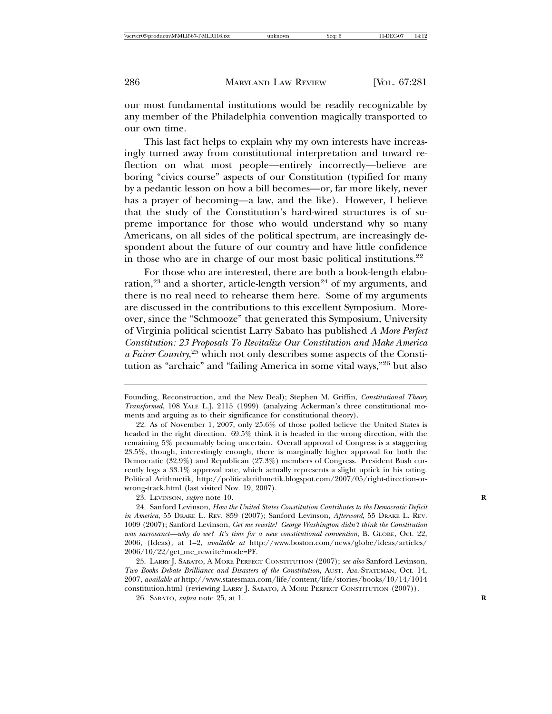our most fundamental institutions would be readily recognizable by any member of the Philadelphia convention magically transported to our own time.

This last fact helps to explain why my own interests have increasingly turned away from constitutional interpretation and toward reflection on what most people—entirely incorrectly—believe are boring "civics course" aspects of our Constitution (typified for many by a pedantic lesson on how a bill becomes—or, far more likely, never has a prayer of becoming—a law, and the like). However, I believe that the study of the Constitution's hard-wired structures is of supreme importance for those who would understand why so many Americans, on all sides of the political spectrum, are increasingly despondent about the future of our country and have little confidence in those who are in charge of our most basic political institutions. $22$ 

For those who are interested, there are both a book-length elaboration,<sup>23</sup> and a shorter, article-length version<sup>24</sup> of my arguments, and there is no real need to rehearse them here. Some of my arguments are discussed in the contributions to this excellent Symposium. Moreover, since the "Schmooze" that generated this Symposium, University of Virginia political scientist Larry Sabato has published *A More Perfect Constitution: 23 Proposals To Revitalize Our Constitution and Make America a Fairer Country*, <sup>25</sup> which not only describes some aspects of the Constitution as "archaic" and "failing America in some vital ways,"26 but also

23. LEVINSON, *supra* note 10. **R**

25. LARRY J. SABATO, A MORE PERFECT CONSTITUTION (2007); *see also* Sanford Levinson, *Two Books Debate Brilliance and Disasters of the Constitution*, AUST. AM.-STATEMAN, Oct. 14, 2007, *available at* http://www.statesman.com/life/content/life/stories/books/10/14/1014 constitution.html (reviewing LARRY J. SABATO, A MORE PERFECT CONSTITUTION (2007)).

26. SABATO, *supra* note 25, at 1. **R**

Founding, Reconstruction, and the New Deal); Stephen M. Griffin, *Constitutional Theory Transformed*, 108 YALE L.J. 2115 (1999) (analyzing Ackerman's three constitutional moments and arguing as to their significance for constitutional theory).

<sup>22.</sup> As of November 1, 2007, only 25.6% of those polled believe the United States is headed in the right direction. 69.5% think it is headed in the wrong direction, with the remaining 5% presumably being uncertain. Overall approval of Congress is a staggering 23.5%, though, interestingly enough, there is marginally higher approval for both the Democratic (32.9%) and Republican (27.3%) members of Congress. President Bush currently logs a 33.1% approval rate, which actually represents a slight uptick in his rating. Political Arithmetik, http://politicalarithmetik.blogspot.com/2007/05/right-direction-orwrong-track.html (last visited Nov. 19, 2007).

<sup>24.</sup> Sanford Levinson, *How the United States Constitution Contributes to the Democratic Deficit in America*, 55 DRAKE L. REV. 859 (2007); Sanford Levinson, *Afterword*, 55 DRAKE L. REV. 1009 (2007); Sanford Levinson, *Get me rewrite! George Washington didn't think the Constitution was sacrosanct—why do we? It's time for a new constitutional convention*, B. GLOBE, Oct. 22, 2006, (Ideas), at 1–2, *available at* http://www.boston.com/news/globe/ideas/articles/ 2006/10/22/get\_me\_rewrite?mode=PF.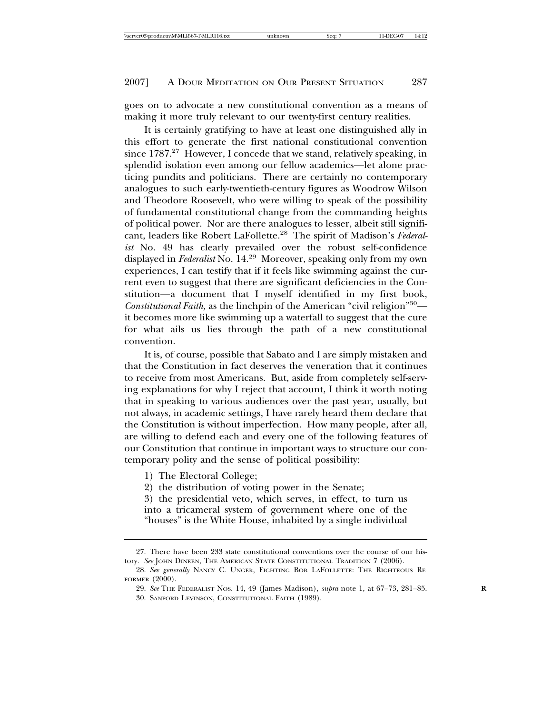goes on to advocate a new constitutional convention as a means of making it more truly relevant to our twenty-first century realities.

It is certainly gratifying to have at least one distinguished ally in this effort to generate the first national constitutional convention since 1787.<sup>27</sup> However, I concede that we stand, relatively speaking, in splendid isolation even among our fellow academics—let alone practicing pundits and politicians. There are certainly no contemporary analogues to such early-twentieth-century figures as Woodrow Wilson and Theodore Roosevelt, who were willing to speak of the possibility of fundamental constitutional change from the commanding heights of political power. Nor are there analogues to lesser, albeit still significant, leaders like Robert LaFollette.28 The spirit of Madison's *Federalist* No. 49 has clearly prevailed over the robust self-confidence displayed in *Federalist* No. 14.29 Moreover, speaking only from my own experiences, I can testify that if it feels like swimming against the current even to suggest that there are significant deficiencies in the Constitution—a document that I myself identified in my first book, *Constitutional Faith,* as the linchpin of the American "civil religion"30 it becomes more like swimming up a waterfall to suggest that the cure for what ails us lies through the path of a new constitutional convention.

It is, of course, possible that Sabato and I are simply mistaken and that the Constitution in fact deserves the veneration that it continues to receive from most Americans. But, aside from completely self-serving explanations for why I reject that account, I think it worth noting that in speaking to various audiences over the past year, usually, but not always, in academic settings, I have rarely heard them declare that the Constitution is without imperfection. How many people, after all, are willing to defend each and every one of the following features of our Constitution that continue in important ways to structure our contemporary polity and the sense of political possibility:

- 1) The Electoral College;
- 2) the distribution of voting power in the Senate;

3) the presidential veto, which serves, in effect, to turn us into a tricameral system of government where one of the "houses" is the White House, inhabited by a single individual

<sup>27.</sup> There have been 233 state constitutional conventions over the course of our history. *See* JOHN DINEEN, THE AMERICAN STATE CONSTITUTIONAL TRADITION 7 (2006).

<sup>28.</sup> *See generally* NANCY C. UNGER, FIGHTING BOB LAFOLLETTE: THE RIGHTEOUS RE-FORMER (2000).

<sup>29.</sup> *See* THE FEDERALIST NOS. 14, 49 (James Madison), *supra* note 1, at 67–73, 281–85. **R**

<sup>30.</sup> SANFORD LEVINSON, CONSTITUTIONAL FAITH (1989).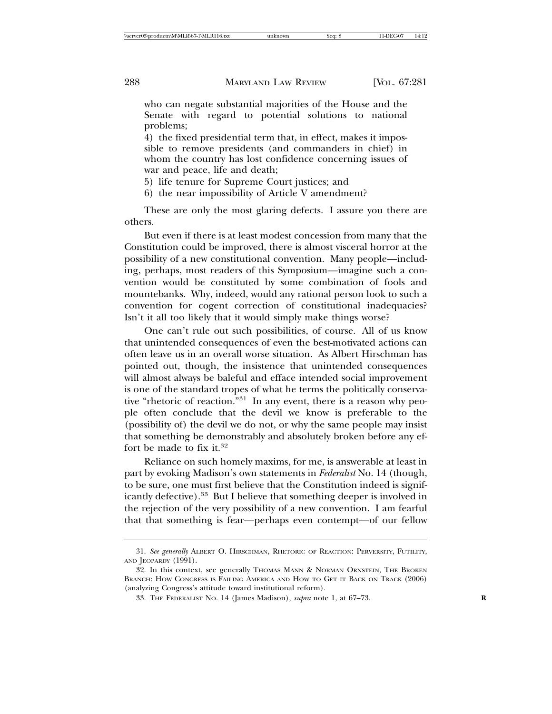who can negate substantial majorities of the House and the Senate with regard to potential solutions to national problems;

4) the fixed presidential term that, in effect, makes it impossible to remove presidents (and commanders in chief) in whom the country has lost confidence concerning issues of war and peace, life and death;

- 5) life tenure for Supreme Court justices; and
- 6) the near impossibility of Article V amendment?

These are only the most glaring defects. I assure you there are others.

But even if there is at least modest concession from many that the Constitution could be improved, there is almost visceral horror at the possibility of a new constitutional convention. Many people—including, perhaps, most readers of this Symposium—imagine such a convention would be constituted by some combination of fools and mountebanks. Why, indeed, would any rational person look to such a convention for cogent correction of constitutional inadequacies? Isn't it all too likely that it would simply make things worse?

One can't rule out such possibilities, of course. All of us know that unintended consequences of even the best-motivated actions can often leave us in an overall worse situation. As Albert Hirschman has pointed out, though, the insistence that unintended consequences will almost always be baleful and efface intended social improvement is one of the standard tropes of what he terms the politically conservative "rhetoric of reaction."<sup>31</sup> In any event, there is a reason why people often conclude that the devil we know is preferable to the (possibility of) the devil we do not, or why the same people may insist that something be demonstrably and absolutely broken before any effort be made to fix it.<sup>32</sup>

Reliance on such homely maxims, for me, is answerable at least in part by evoking Madison's own statements in *Federalist* No. 14 (though, to be sure, one must first believe that the Constitution indeed is significantly defective).33 But I believe that something deeper is involved in the rejection of the very possibility of a new convention. I am fearful that that something is fear—perhaps even contempt—of our fellow

<sup>31.</sup> *See generally* ALBERT O. HIRSCHMAN, RHETORIC OF REACTION: PERVERSITY, FUTILITY, AND JEOPARDY (1991).

<sup>32.</sup> In this context, see generally Thomas Mann & Norman Ornstein, The Broken BRANCH: HOW CONGRESS IS FAILING AMERICA AND HOW TO GET IT BACK ON TRACK (2006) (analyzing Congress's attitude toward institutional reform).

<sup>33.</sup> THE FEDERALIST NO. 14 (James Madison), *supra* note 1, at 67–73. **R**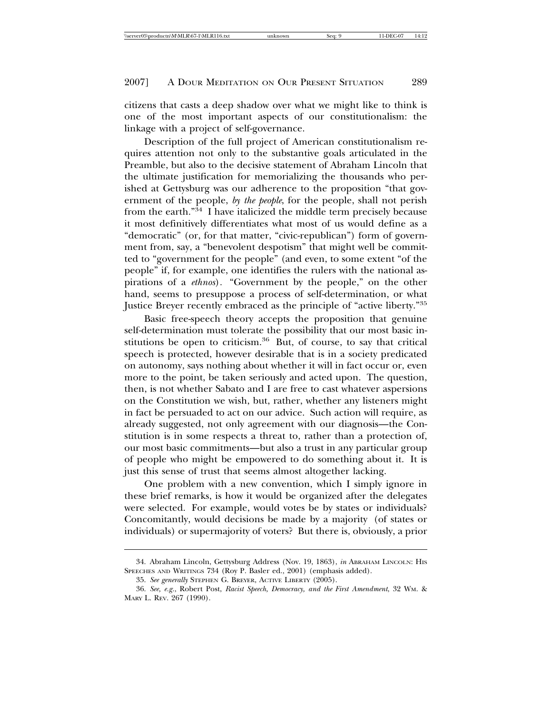citizens that casts a deep shadow over what we might like to think is one of the most important aspects of our constitutionalism: the linkage with a project of self-governance.

Description of the full project of American constitutionalism requires attention not only to the substantive goals articulated in the Preamble, but also to the decisive statement of Abraham Lincoln that the ultimate justification for memorializing the thousands who perished at Gettysburg was our adherence to the proposition "that government of the people, *by the people*, for the people, shall not perish from the earth."34 I have italicized the middle term precisely because it most definitively differentiates what most of us would define as a "democratic" (or, for that matter, "civic-republican") form of government from, say, a "benevolent despotism" that might well be committed to "government for the people" (and even, to some extent "of the people" if, for example, one identifies the rulers with the national aspirations of a *ethnos*)*.* "Government by the people," on the other hand, seems to presuppose a process of self-determination, or what Justice Breyer recently embraced as the principle of "active liberty."<sup>35</sup>

Basic free-speech theory accepts the proposition that genuine self-determination must tolerate the possibility that our most basic institutions be open to criticism.<sup>36</sup> But, of course, to say that critical speech is protected, however desirable that is in a society predicated on autonomy, says nothing about whether it will in fact occur or, even more to the point, be taken seriously and acted upon. The question, then, is not whether Sabato and I are free to cast whatever aspersions on the Constitution we wish, but, rather, whether any listeners might in fact be persuaded to act on our advice. Such action will require, as already suggested, not only agreement with our diagnosis—the Constitution is in some respects a threat to, rather than a protection of, our most basic commitments—but also a trust in any particular group of people who might be empowered to do something about it. It is just this sense of trust that seems almost altogether lacking.

One problem with a new convention, which I simply ignore in these brief remarks, is how it would be organized after the delegates were selected. For example, would votes be by states or individuals? Concomitantly, would decisions be made by a majority (of states or individuals) or supermajority of voters? But there is, obviously, a prior

<sup>34.</sup> Abraham Lincoln, Gettysburg Address (Nov. 19, 1863), *in* ABRAHAM LINCOLN: HIS SPEECHES AND WRITINGS 734 (Roy P. Basler ed., 2001) (emphasis added).

<sup>35.</sup> *See generally* STEPHEN G. BREYER, ACTIVE LIBERTY (2005).

<sup>36.</sup> *See, e.g.*, Robert Post, *Racist Speech, Democracy, and the First Amendment*, 32 WM. & MARY L. REV. 267 (1990).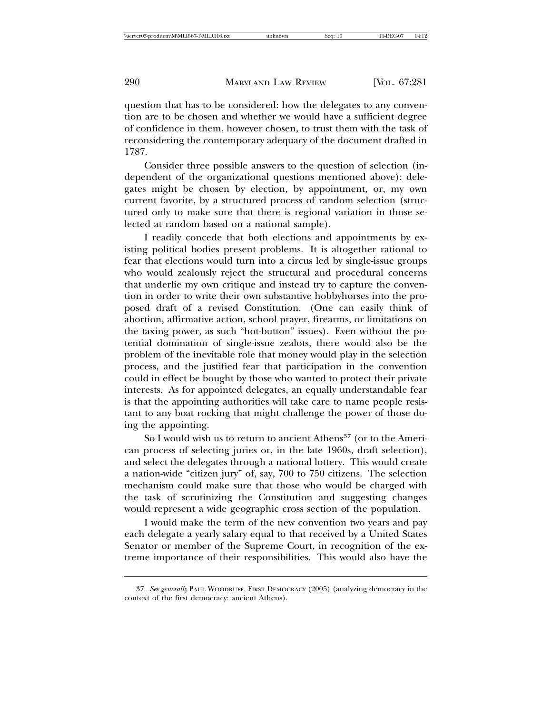question that has to be considered: how the delegates to any convention are to be chosen and whether we would have a sufficient degree of confidence in them, however chosen, to trust them with the task of reconsidering the contemporary adequacy of the document drafted in 1787.

Consider three possible answers to the question of selection (independent of the organizational questions mentioned above): delegates might be chosen by election, by appointment, or, my own current favorite, by a structured process of random selection (structured only to make sure that there is regional variation in those selected at random based on a national sample).

I readily concede that both elections and appointments by existing political bodies present problems. It is altogether rational to fear that elections would turn into a circus led by single-issue groups who would zealously reject the structural and procedural concerns that underlie my own critique and instead try to capture the convention in order to write their own substantive hobbyhorses into the proposed draft of a revised Constitution. (One can easily think of abortion, affirmative action, school prayer, firearms, or limitations on the taxing power, as such "hot-button" issues). Even without the potential domination of single-issue zealots, there would also be the problem of the inevitable role that money would play in the selection process, and the justified fear that participation in the convention could in effect be bought by those who wanted to protect their private interests. As for appointed delegates, an equally understandable fear is that the appointing authorities will take care to name people resistant to any boat rocking that might challenge the power of those doing the appointing.

So I would wish us to return to ancient Athens<sup>37</sup> (or to the American process of selecting juries or, in the late 1960s, draft selection), and select the delegates through a national lottery. This would create a nation-wide "citizen jury" of, say, 700 to 750 citizens. The selection mechanism could make sure that those who would be charged with the task of scrutinizing the Constitution and suggesting changes would represent a wide geographic cross section of the population.

I would make the term of the new convention two years and pay each delegate a yearly salary equal to that received by a United States Senator or member of the Supreme Court, in recognition of the extreme importance of their responsibilities. This would also have the

<sup>37.</sup> *See generally* PAUL WOODRUFF, FIRST DEMOCRACY (2005) (analyzing democracy in the context of the first democracy: ancient Athens).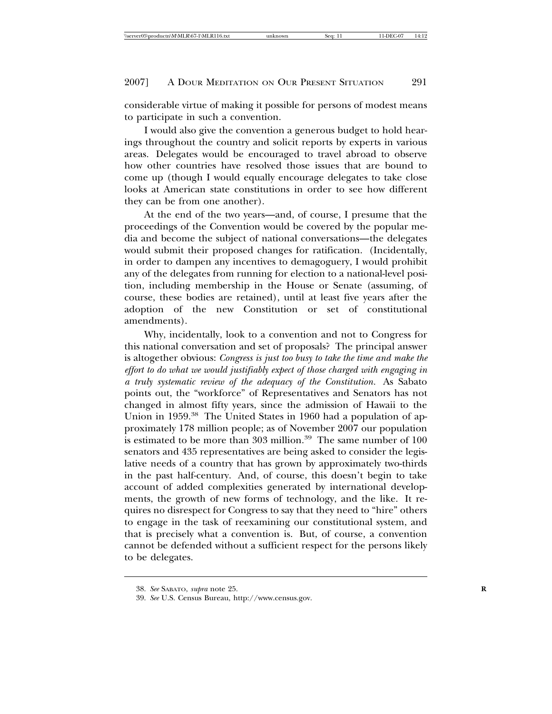considerable virtue of making it possible for persons of modest means to participate in such a convention.

I would also give the convention a generous budget to hold hearings throughout the country and solicit reports by experts in various areas. Delegates would be encouraged to travel abroad to observe how other countries have resolved those issues that are bound to come up (though I would equally encourage delegates to take close looks at American state constitutions in order to see how different they can be from one another).

At the end of the two years—and, of course, I presume that the proceedings of the Convention would be covered by the popular media and become the subject of national conversations—the delegates would submit their proposed changes for ratification. (Incidentally, in order to dampen any incentives to demagoguery, I would prohibit any of the delegates from running for election to a national-level position, including membership in the House or Senate (assuming, of course, these bodies are retained), until at least five years after the adoption of the new Constitution or set of constitutional amendments).

Why, incidentally, look to a convention and not to Congress for this national conversation and set of proposals? The principal answer is altogether obvious: *Congress is just too busy to take the time and make the effort to do what we would justifiably expect of those charged with engaging in a truly systematic review of the adequacy of the Constitution.* As Sabato points out, the "workforce" of Representatives and Senators has not changed in almost fifty years, since the admission of Hawaii to the Union in 1959.<sup>38</sup> The United States in 1960 had a population of approximately 178 million people; as of November 2007 our population is estimated to be more than 303 million.<sup>39</sup> The same number of  $100$ senators and 435 representatives are being asked to consider the legislative needs of a country that has grown by approximately two-thirds in the past half-century. And, of course, this doesn't begin to take account of added complexities generated by international developments, the growth of new forms of technology, and the like. It requires no disrespect for Congress to say that they need to "hire" others to engage in the task of reexamining our constitutional system, and that is precisely what a convention is. But, of course, a convention cannot be defended without a sufficient respect for the persons likely to be delegates.

<sup>38.</sup> *See* SABATO, *supra* note 25. **R**

<sup>39.</sup> *See* U.S. Census Bureau, http://www.census.gov.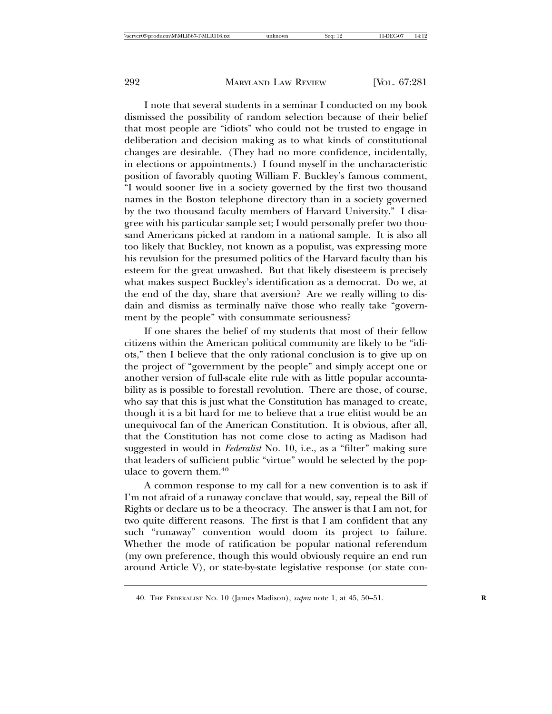I note that several students in a seminar I conducted on my book dismissed the possibility of random selection because of their belief that most people are "idiots" who could not be trusted to engage in deliberation and decision making as to what kinds of constitutional changes are desirable. (They had no more confidence, incidentally, in elections or appointments.) I found myself in the uncharacteristic position of favorably quoting William F. Buckley's famous comment, "I would sooner live in a society governed by the first two thousand names in the Boston telephone directory than in a society governed by the two thousand faculty members of Harvard University." I disagree with his particular sample set; I would personally prefer two thousand Americans picked at random in a national sample. It is also all too likely that Buckley, not known as a populist, was expressing more his revulsion for the presumed politics of the Harvard faculty than his esteem for the great unwashed. But that likely disesteem is precisely what makes suspect Buckley's identification as a democrat. Do we, at the end of the day, share that aversion? Are we really willing to disdain and dismiss as terminally naïve those who really take "government by the people" with consummate seriousness?

If one shares the belief of my students that most of their fellow citizens within the American political community are likely to be "idiots," then I believe that the only rational conclusion is to give up on the project of "government by the people" and simply accept one or another version of full-scale elite rule with as little popular accountability as is possible to forestall revolution. There are those, of course, who say that this is just what the Constitution has managed to create, though it is a bit hard for me to believe that a true elitist would be an unequivocal fan of the American Constitution. It is obvious, after all, that the Constitution has not come close to acting as Madison had suggested in would in *Federalist* No. 10, i.e., as a "filter" making sure that leaders of sufficient public "virtue" would be selected by the populace to govern them.<sup>40</sup>

A common response to my call for a new convention is to ask if I'm not afraid of a runaway conclave that would, say, repeal the Bill of Rights or declare us to be a theocracy. The answer is that I am not, for two quite different reasons. The first is that I am confident that any such "runaway" convention would doom its project to failure. Whether the mode of ratification be popular national referendum (my own preference, though this would obviously require an end run around Article V), or state-by-state legislative response (or state con-

<sup>40.</sup> THE FEDERALIST NO. 10 (James Madison), *supra* note 1, at 45, 50–51. **R**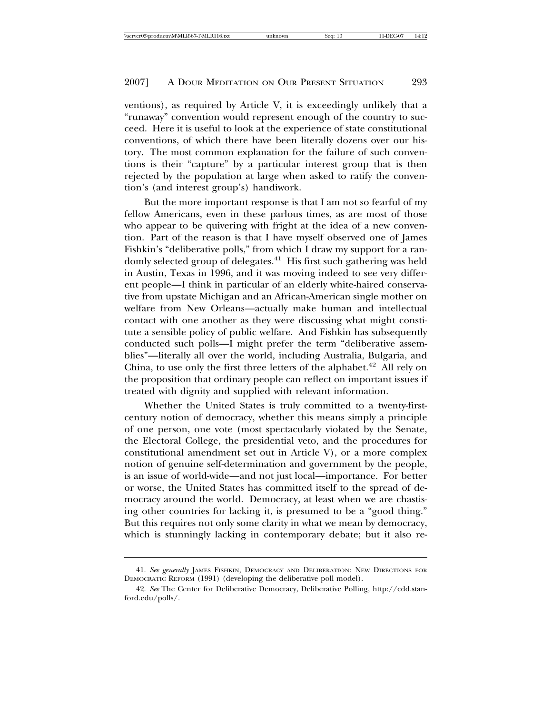ventions), as required by Article V, it is exceedingly unlikely that a "runaway" convention would represent enough of the country to succeed. Here it is useful to look at the experience of state constitutional conventions, of which there have been literally dozens over our history. The most common explanation for the failure of such conventions is their "capture" by a particular interest group that is then rejected by the population at large when asked to ratify the convention's (and interest group's) handiwork.

But the more important response is that I am not so fearful of my fellow Americans, even in these parlous times, as are most of those who appear to be quivering with fright at the idea of a new convention. Part of the reason is that I have myself observed one of James Fishkin's "deliberative polls," from which I draw my support for a randomly selected group of delegates.<sup>41</sup> His first such gathering was held in Austin, Texas in 1996, and it was moving indeed to see very different people—I think in particular of an elderly white-haired conservative from upstate Michigan and an African-American single mother on welfare from New Orleans—actually make human and intellectual contact with one another as they were discussing what might constitute a sensible policy of public welfare. And Fishkin has subsequently conducted such polls—I might prefer the term "deliberative assemblies"—literally all over the world, including Australia, Bulgaria, and China, to use only the first three letters of the alphabet. $42$  All rely on the proposition that ordinary people can reflect on important issues if treated with dignity and supplied with relevant information.

Whether the United States is truly committed to a twenty-firstcentury notion of democracy, whether this means simply a principle of one person, one vote (most spectacularly violated by the Senate, the Electoral College, the presidential veto, and the procedures for constitutional amendment set out in Article V), or a more complex notion of genuine self-determination and government by the people, is an issue of world-wide—and not just local—importance. For better or worse, the United States has committed itself to the spread of democracy around the world. Democracy, at least when we are chastising other countries for lacking it, is presumed to be a "good thing." But this requires not only some clarity in what we mean by democracy, which is stunningly lacking in contemporary debate; but it also re-

<sup>41.</sup> *See generally* JAMES FISHKIN, DEMOCRACY AND DELIBERATION: NEW DIRECTIONS FOR DEMOCRATIC REFORM (1991) (developing the deliberative poll model).

<sup>42.</sup> *See* The Center for Deliberative Democracy, Deliberative Polling, http://cdd.stanford.edu/polls/.